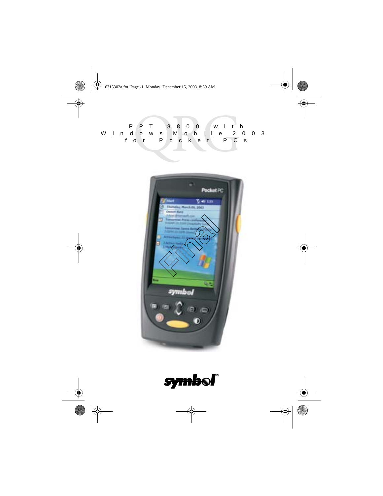PPT 8800 with Windows Mobile 2003 for Pocket PCs



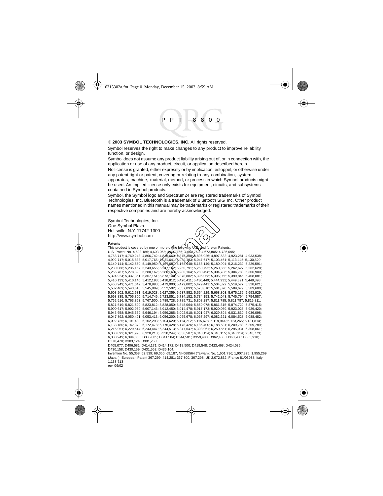#### © **2003 SYMBOL TECHNOLOGIES, INC.** All rights reserved.

Symbol reserves the right to make changes to any product to improve reliability, function, or design.

Symbol does not assume any product liability arising out of, or in connection with, the application or use of any product, circuit, or application described herein.

No license is granted, either expressly or by implication, estoppel, or otherwise under any patent right or patent, covering or relating to any combination, system, apparatus, machine, material, method, or process in which Symbol products might be used. An implied license only exists for equipment, circuits, and subsystems contained in Symbol products.

Symbol, the Symbol logo and Spectrum24 are registered trademarks of Symbol Technologies, Inc. Bluetooth is a trademark of Bluetooth SIG, Inc. Other product names mentioned in this manual may be trademarks or registered trademarks of their respective companies and are hereby acknowledged.

Symbol Technologies, Inc. One Symbol Plaza Holtsville, N.Y. 11742-1300 http://www.symbol.com

#### **Patents**

This product is covered by one or more of the following U.S. and foreign Patents:<br>U.S. Patent No. 4,593,186; 4,603,262; ASO7, 156; A652,750; 4,673,805; 4,736,0 U.S. Patent No. 4,593,186; 4,603,262; 4,607,156; 4,652,750; 4,673,805; 4,736,095; 4,758,717; 4,760,248; 4,806,742; 4,816,660; 4,845,350; 4,896,026; 4,897,532; 4,923,281; 4,933,538; 4,992,717; 5,015,833; 5,017,765; 5,021,641; 5,029,183; 5,047,617; 5,103,461; 5,113,445; 5,130,520; 5,140,144; 5,142,550; 5,149,950; 5,157,687; 5,168,148; 5,168,149; 5,180,904; 5,216,232; 5,229,591; 5,230,088; 5,235,167; 5,243,655; 5,247,162; 5,250,791; 5,250,792; 5,260,553; 5,262,627; 5,262,628; 5,266,787; 5,278,398; 5,280,162; 5,280,163; 5,280,164; 5,280,498; 5,304,786; 5,304,788; 5,306,900; 5,324,924; 5,337,361; 5,367,151; 5,373,148; 5,378,882; 5,396,053; 5,396,055; 5,399,846; 5,408,081; 5,410,139; 5,410,140; 5,412,198; 5,418,812; 5,420,411; 5,436,440; 5,444,231; 5,449,891; 5,449,893; 5,468,949; 5,471,042; 5,478,998; 5,479,000; 5,479,002; 5,479,441; 5,504,322; 5,519,577; 5,528,621; 5,532,469; 5,543,610; 5,545,889; 5,552,592; 5,557,093; 5,578,810; 5,581,070; 5,589,679; 5,589,680; 5,608,202; 5,612,531; 5,619,028; 5,627,359; 5,637,852; 5,664,229; 5,668,803; 5,675,139; 5,693,929; 5,698,835; 5,705,800; 5,714,746; 5,723,851; 5,734,152; 5,734,153; 5,742,043; 5,745,794; 5,754,587; 5,762,516; 5,763,863; 5,767,500; 5,789,728; 5,789,731; 5,808,287; 5,811,785; 5,811,787; 5,815,811; 5,821,519; 5,821,520; 5,823,812; 5,828,050; 5,848,064; 5,850,078; 5,861,615; 5,874,720; 5,875,415; 5,900,617; 5,902,989; 5,907,146; 5,912,450; 5,914,478; 5,917,173; 5,920,059; 5,923,025; 5,929,420; 5,945,658; 5,945,659; 5,946,194; 5,959,285; 6,002,918; 6,021,947; 6,029,894; 6,031,830; 6,036,098; 6,047,892; 6,050,491; 6,053,413; 6,056,200; 6,065,678; 6,067,297; 6,082,621; 6,084,528; 6,088,482; 6,092,725; 6,101,483; 6,102,293; 6,104,620; 6,114,712; 6,115,678; 6,119,944; 6,123,265; 6,131,814; 6,138,180; 6,142,379; 6,172,478; 6,176,428; 6,178,426; 6,186,400; 6,188,681; 6,209,788; 6,209,789; 6,216,951; 6,220,514; 6,243,447; 6,244,513; 6,247,647; 6,308,061; 6,250,551; 6,295,031; 6,308,061; 6,308,892; 6,321,990; 6,328,213; 6,330,244; 6,336,587; 6,340,114; 6,340,115; 6,340,119; 6,348,773; 6,380,949; 6,394,355; D305,885; D341,584; D344,501; D359,483; D362,453; D363,700; D363,918; D370,478; D383,124; D391,250; D405,077; D406,581; D414,171; D414,172; D418,500; D419,548; D423,468; D424,035; **First** content of the set of the set of the set of the set of the set of the set of the set of the set of the set of the set of the set of the set of the set of the set of the set of the set of the set of the set of the

D430,158; D430,159; D431,562; D436,104.

Invention No. 55,358; 62,539; 69,060; 69,187, NI-068564 (Taiwan); No. 1,601,796; 1,907,875; 1,955,269 (Japan); European Patent 367,299; 414,281; 367,300; 367,298; UK 2,072,832; France 81/03938; Italy 1,138,713

rev. 06/02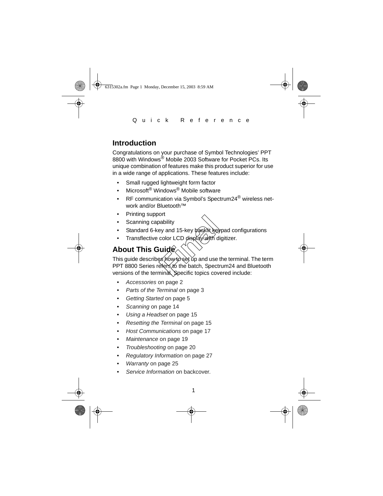# **Introduction**

Congratulations on your purchase of Symbol Technologies' PPT 8800 with Windows<sup>®</sup> Mobile 2003 Software for Pocket PCs. Its unique combination of features make this product superior for use in a wide range of applications. These features include:

- Small rugged lightweight form factor
- Microsoft® Windows® Mobile software
- RF communication via Symbol's Spectrum24<sup>®</sup> wireless network and/or Bluetooth™
- Printing support
- Scanning capability
- Standard 6-key and 15-key packlit keypad configurations
- Transflective color LCD display with digitizer.

# **About This Guide**

This guide describeś how to`set ǔp and use the terminal. The term PPT 8800 Series refers to the batch, Spectrum24 and Bluetooth versions of the terminal. Specific topics covered include: bability<br>
Final 15-key backlit key<br>
Final 15-key backlit key<br> **Final Condition**<br> **Final Condition**<br>
Final Specific topics cover

- [Accessories](#page-3-0) on page 2
- [Parts of the Terminal](#page-4-0) on page 3
- [Getting Started](#page-6-0) on page 5
- Scanning [on page 14](#page-15-0)
- [Using a Headset](#page-16-1) on page 15
- [Resetting the Terminal](#page-16-0) on page 15
- [Host Communications](#page-18-0) on page 17
- [Maintenance](#page-20-0) on page 19
- [Troubleshooting](#page-21-0) on page 20
- [Regulatory Information](#page-28-0) on page 27
- Warranty on page 25
- Service Information on backcover.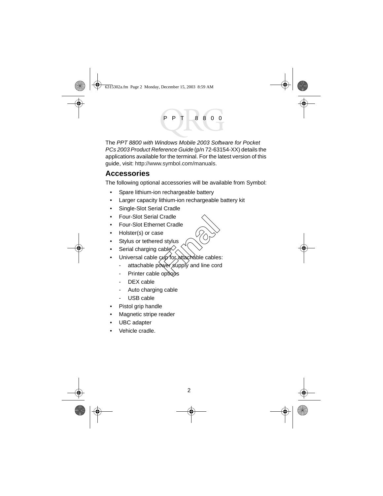The PPT 8800 with Windows Mobile 2003 Software for Pocket PCs 2003 Product Reference Guide (p/n 72-63154-XX) details the applications available for the terminal. For the latest version of this guide, visit: http://www.symbol.com/manuals.

# <span id="page-3-0"></span>**Accessories**

The following optional accessories will be available from Symbol:

- Spare lithium-ion rechargeable battery
- Larger capacity lithium-ion rechargeable battery kit
- Single-Slot Serial Cradle
- Four-Slot Serial Cradle
- Four-Slot Ethernet Cradle
- Holster(s) or case
- Stylus or tethered stylus
- Serial charging cable $\Diamond$
- Universal cable cup for attachable cables: Cradle<br>
net Cradle<br>
se<br>
ed stylus<br>
cable<br>
cup for attachable cables<br>
ower supply and line core<br>
exprises
	- attachable power supply and line cord
	- Printer cable options
	- DEX cable
	- Auto charging cable
	- USB cable
- Pistol grip handle
- Magnetic stripe reader
- UBC adapter
- Vehicle cradle.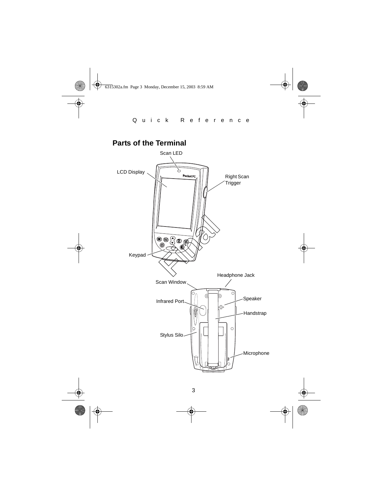<span id="page-4-0"></span>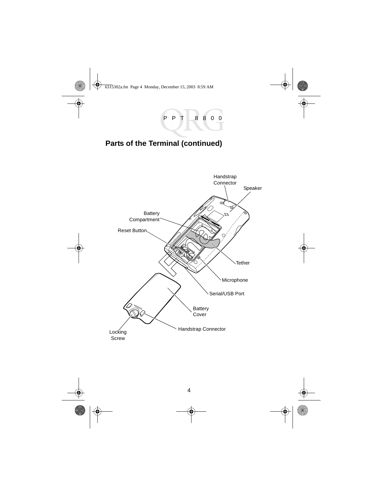# **Parts of the Terminal (continued)**

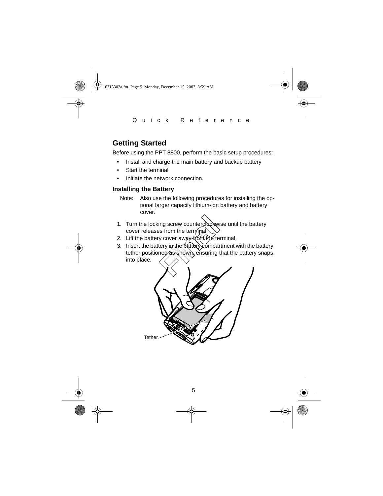# <span id="page-6-0"></span>**Getting Started**

Before using the PPT 8800, perform the basic setup procedures:

- Install and charge the main battery and backup battery
- Start the terminal
- Initiate the network connection.

## <span id="page-6-1"></span>**Installing the Battery**

- Note: Also use the following procedures for installing the optional larger capacity lithium-ion battery and battery cover.
- 1. Turn the locking screw counterclockwise until the battery cover releases from the terminal
- 2. Lift the battery cover away trom the terminal.
- 3. Insert the battery in the battery compartment with the battery tether positioned as shown, ensuring that the battery snaps into place. Final Screw counterclockwind<br>
Figure 1991 over a way-trom the terminal<br>
Figure 1991 over a way-trom the terminal<br>
Figure 1991 over a significant compared as shown, ensuring to

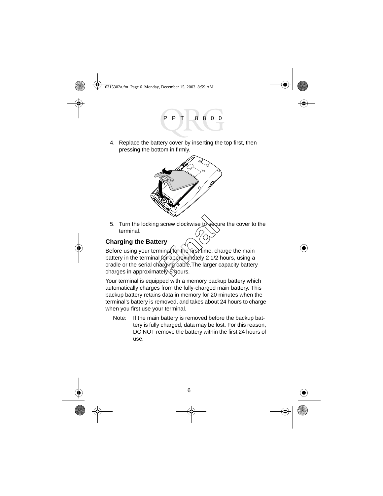4. Replace the battery cover by inserting the top first, then pressing the bottom in firmly.



5. Turn the locking screw clockwise to secure the cover to the terminal.

# <span id="page-7-0"></span>**Charging the Battery**

Before using your terminal for the first time, charge the main battery in the terminal for approximately 2 1/2 hours, using a cradle or the serial charging cable. The larger capacity battery charges in approximately 5 hours. screw clockwise to secure<br> **Final for the first time**, ch<br> **For approximately 2 1/2**<br>
The larger of the larger<br> **Finally** & bours.

Your terminal is equipped with a memory backup battery which automatically charges from the fully-charged main battery. This backup battery retains data in memory for 20 minutes when the terminal's battery is removed, and takes about 24 hours to charge when you first use your terminal.

Note: If the main battery is removed before the backup battery is fully charged, data may be lost. For this reason, DO NOT remove the battery within the first 24 hours of use.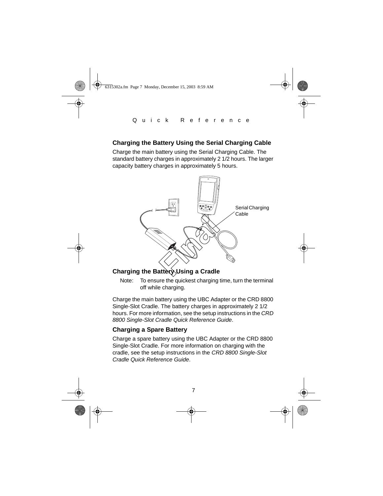# **Charging the Battery Using the Serial Charging Cable**

Charge the main battery using the Serial Charging Cable. The standard battery charges in approximately 2 1/2 hours. The larger capacity battery charges in approximately 5 hours.



Charge the main battery using the UBC Adapter or the CRD 8800 Single-Slot Cradle. The battery charges in approximately 2 1/2 hours. For more information, see the setup instructions in the CRD 8800 Single-Slot Cradle Quick Reference Guide.

# **Charging a Spare Battery**

Charge a spare battery using the UBC Adapter or the CRD 8800 Single-Slot Cradle. For more information on charging with the cradle, see the setup instructions in the CRD 8800 Single-Slot Cradle Quick Reference Guide.

Note: To ensure the quickest charging time, turn the terminal off while charging.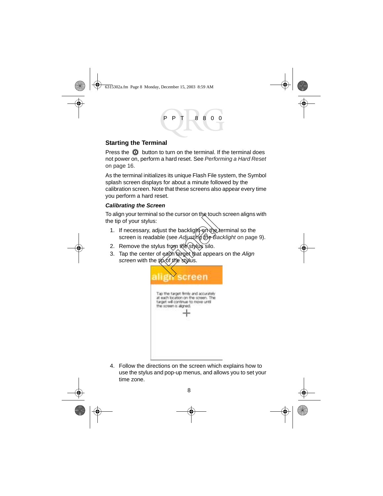# <span id="page-9-0"></span>**Starting the Terminal**

Press the  $\odot$  button to turn on the terminal. If the terminal does not power on, perform a hard reset. See [Performing a Hard Reset](#page-17-0)  [on page 16](#page-17-0).

As the terminal initializes its unique Flash File system, the Symbol splash screen displays for about a minute followed by the calibration screen. Note that these screens also appear every time you perform a hard reset.

# <span id="page-9-1"></span>**Calibrating the Screen**

To align your terminal so the cursor on the touch screen aligns with the tip of your stylus:

- 1. If necessary, adjust the backlight on the terminal so the screen is readable (see Adjusting the Backlight on page 9). Figure the backlight on the load<br>ble (see *Adjusting the Ba*<br>lus from the stylus silo.<br>f each target that appear<br>troof the stylus.
- 2. Remove the stylus from the stylus silo.
- 3. Tap the center of each target that appears on the Align screen with the tip of the stylus.



4. Follow the directions on the screen which explains how to use the stylus and pop-up menus, and allows you to set your time zone.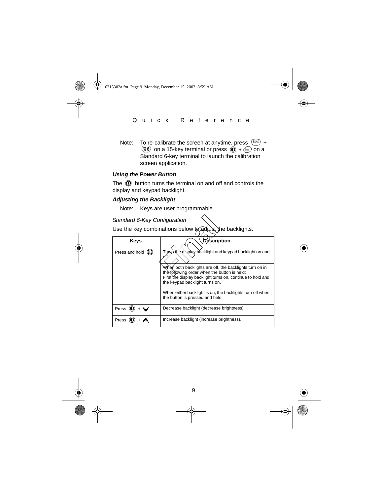Note: To re-calibrate the screen at anytime, press  $(FWC) +$  $\binom{m}{6}$  on a 15-key terminal or press  $\widehat{O}$  +  $\widehat{=}$  on a Standard 6-key terminal to launch the calibration screen application.

#### **Using the Power Button**

The  $\odot$  button turns the terminal on and off and controls the display and keypad backlight.

### **Adjusting the Backlight**

Note: Keys are user programmable.

| Standard 6-Key Configuration                             |                                                                                                                                                                                                         |  |
|----------------------------------------------------------|---------------------------------------------------------------------------------------------------------------------------------------------------------------------------------------------------------|--|
| Use the key combinations below to adjust the backlights. |                                                                                                                                                                                                         |  |
| Keys                                                     | <b>Description</b>                                                                                                                                                                                      |  |
| Press and hold $\mathbb O$                               | Tuns the display backlight and keypad backlight on and                                                                                                                                                  |  |
|                                                          | Whén both backlights are off, the backlights turn on in<br>the following order when the button is held:<br>First the display backlight turns on, continue to hold and<br>the keypad backlight turns on. |  |
|                                                          | When either backlight is on, the backlights turn off when<br>the button is pressed and held.                                                                                                            |  |
| Press (                                                  | Decrease backlight (decrease brightness).                                                                                                                                                               |  |
| Press                                                    | Increase backlight (increase brightness).                                                                                                                                                               |  |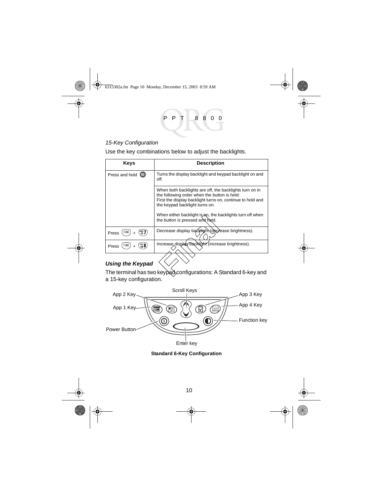#### 15-Key Configuration

Use the key combinations below to adjust the backlights.

| Keys                                       | <b>Description</b>                                                                                                                                                                                      |
|--------------------------------------------|---------------------------------------------------------------------------------------------------------------------------------------------------------------------------------------------------------|
| Press and hold $\circledR$                 | Turns the display backlight and keypad backlight on and<br>off.                                                                                                                                         |
|                                            | When both backlights are off, the backlights turn on in<br>the following order when the button is held:<br>First the display backlight turns on, continue to hold and<br>the keypad backlight turns on. |
|                                            | When either backlight is on, the backlights turn off when<br>the button is pressed and held.                                                                                                            |
| PQRS<br>\F7<br><b>FUNC</b><br>Press        | Decrease display backlight decrease brightness).                                                                                                                                                        |
| $\frac{100}{16}$ 8<br><b>FUNC</b><br>Press | Increase display backlight (increase brightness).                                                                                                                                                       |
| <b>Using the Keypad</b>                    |                                                                                                                                                                                                         |
|                                            | The terminal has two keypad configurations: A Standard 6-key and                                                                                                                                        |

#### **Using the Keypad**

a 15-key configuration.



**Standard 6-Key Configuration**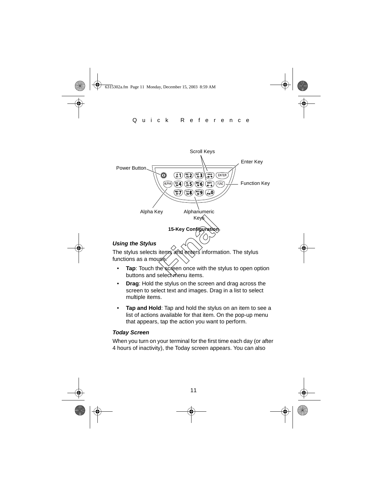

The stylus selects items and enters information. The stylus functions as a mouse

- buttons and select menu items.
- **Drag**: Hold the stylus on the screen and drag across the screen to select text and images. Drag in a list to select multiple items.
- **Tap and Hold**: Tap and hold the stylus on an item to see a list of actions available for that item. On the pop-up menu that appears, tap the action you want to perform.

#### **Today Screen**

When you turn on your terminal for the first time each day (or after 4 hours of inactivity), the Today screen appears. You can also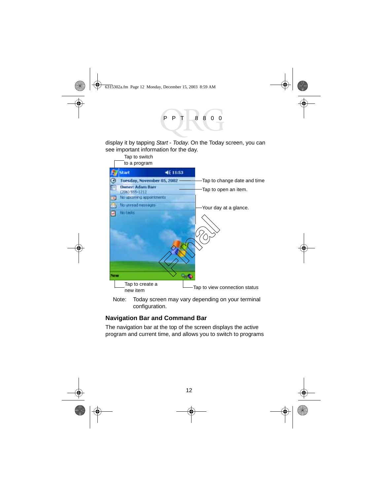display it by tapping Start - Today. On the Today screen, you can see important information for the day.



Note: Today screen may vary depending on your terminal configuration.

# **Navigation Bar and Command Bar**

The navigation bar at the top of the screen displays the active program and current time, and allows you to switch to programs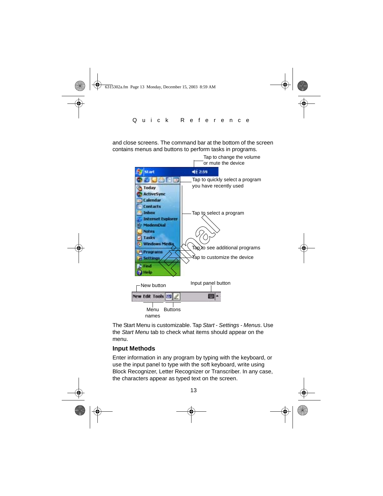and close screens. The command bar at the bottom of the screen contains menus and buttons to perform tasks in programs.



The Start Menu is customizable. Tap Start - Settings - Menus. Use the Start Menu tab to check what items should appear on the menu.

# **Input Methods**

Enter information in any program by typing with the keyboard, or use the input panel to type with the soft keyboard, write using Block Recognizer, Letter Recognizer or Transcriber. In any case, the characters appear as typed text on the screen.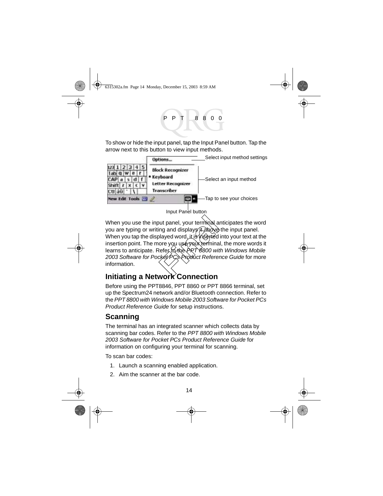To show or hide the input panel, tap the Input Panel button. Tap the arrow next to this button to view input methods.



When you use the input panel, your terminal anticipates the word you are typing or writing and displays it above the input panel. When you tap the displayed word, it is inserted into your text at the insertion point. The more you usé your terminal, the more words it learns to anticipate. Refer to the PPT 8800 with Windows Mobile 2003 Software for Pocket PCs Product Reference Guide for more information. but panel, your terminal as<br>
ing and displays it above<br>
blayed word, it is inserted<br>
ore you use your termina<br>
Refer to the PRT 6800 with<br>
cker PCs Product Reference

# **Initiating a Network Connection**

Before using the PPT8846, PPT 8860 or PPT 8866 terminal, set up the Spectrum24 network and/or Bluetooth connection. Refer to the PPT 8800 with Windows Mobile 2003 Software for Pocket PCs Product Reference Guide for setup instructions.

# <span id="page-15-0"></span>**Scanning**

The terminal has an integrated scanner which collects data by scanning bar codes. Refer to the PPT 8800 with Windows Mobile 2003 Software for Pocket PCs Product Reference Guide for information on configuring your terminal for scanning.

To scan bar codes:

- 1. Launch a scanning enabled application.
- 2. Aim the scanner at the bar code.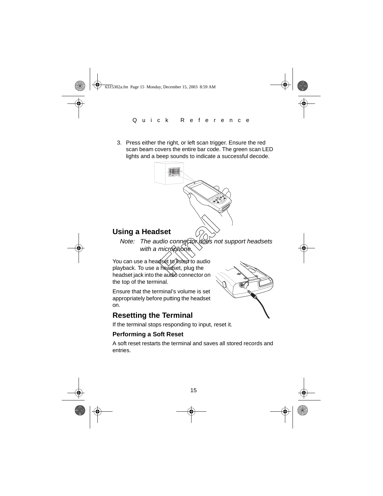3. Press either the right, or left scan trigger. Ensure the red scan beam covers the entire bar code. The green scan LED lights and a beep sounds to indicate a successful decode.



# <span id="page-16-1"></span>**Using a Headset**

Note: The audio connector does not support headsets with a microphone

You can use a headset to listen to audio playback. To use a headset, plug the headset jack into the audio connector on the top of the terminal.

Ensure that the terminal's volume is set appropriately before putting the headset on.

# <span id="page-16-0"></span>**Resetting the Terminal**

If the terminal stops responding to input, reset it.

# **Performing a Soft Reset**

A soft reset restarts the terminal and saves all stored records and entries.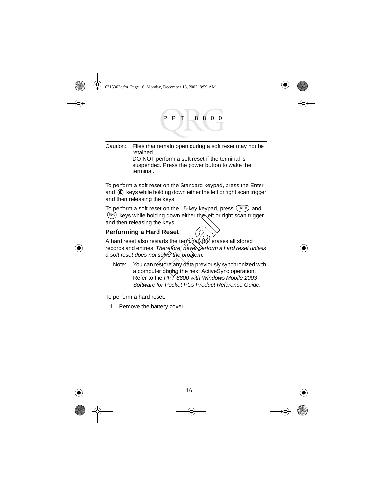| Caution: Files that remain open during a soft reset may not be |
|----------------------------------------------------------------|
| retained.                                                      |
| DO NOT perform a soft reset if the terminal is                 |
| suspended. Press the power button to wake the                  |
| terminal.                                                      |

To perform a soft reset on the Standard keypad, press the Enter and  $\circled{1}$  keys while holding down either the left or right scan trigger and then releasing the keys.

To perform a soft reset on the 15-key keypad, press  $(P^{NTER})$  and  $F_{\text{FMC}}$  keys while holding down either the left or right scan trigger and then releasing the keys.

# <span id="page-17-0"></span>**Performing a Hard Reset**

A hard reset also restarts the terminal, but erases all stored records and entries. Therefore, never perform a hard reset unless a soft reset does not solve the problem. Improvision interting the keys.<br> **Finally Set of the Set of the Accord Set of the Accord Set of the Accord Set of the Accord Set of the Accord Set of the Accident Set of the Accident Set of the Accident Set of the next Act** 

Note: You can restore any data previously synchronized with a computer during the next ActiveSync operation. Refer to the PPT 8800 with Windows Mobile 2003 Software for Pocket PCs Product Reference Guide.

To perform a hard reset:

1. Remove the battery cover.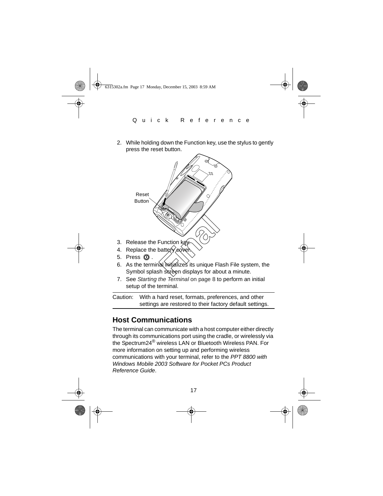2. While holding down the Function key, use the stylus to gently press the reset button.



- 6. As the terminal intitalizes its unique Flash File system, the Symbol splash screen displays for about a minute.
- 7. See [Starting the Terminal](#page-9-0) on page 8 to perform an initial setup of the terminal.

Caution: With a hard reset, formats, preferences, and other settings are restored to their factory default settings.

# <span id="page-18-0"></span>**Host Communications**

The terminal can communicate with a host computer either directly through its communications port using the cradle, or wirelessly via the Spectrum24® wireless LAN or Bluetooth Wireless PAN. For more information on setting up and performing wireless communications with your terminal, refer to the PPT 8800 with Windows Mobile 2003 Software for Pocket PCs Product Reference Guide.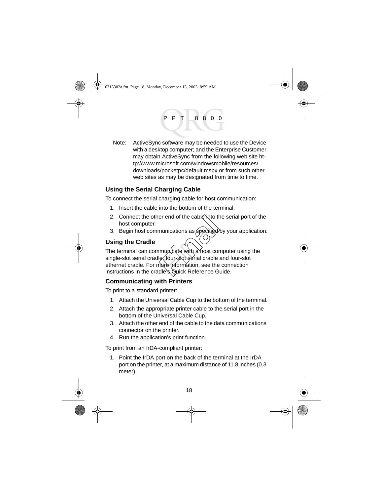Note: ActiveSync software may be needed to use the Device with a desktop computer; and the Enterprise Customer may obtain ActiveSync from the following web site http://www.microsoft.com/windowsmobile/resources/ downloads/pocketpc/default.mspx or from such other web sites as may be designated from time to time.

# **Using the Serial Charging Cable**

To connect the serial charging cable for host communication:

- 1. Insert the cable into the bottom of the terminal.
- 2. Connect the other end of the cable into the serial port of the host computer.
- 3. Begin host communications as specified by your application.

# **Using the Cradle**

The terminal can communicate with a host computer using the single-slot serial cradle, four-slot serial cradle and four-slot ethernet cradle. For more information, see the connection instructions in the cradle's Quick Reference Guide. Final of the cable into the<br>
munications as specified<br>
municate with a host computed<br> **Finally interpreted in the internation**, see the<br>
dle's Quick Reference Gi

# **Communicating with Printers**

To print to a standard printer:

- 1. Attach the Universal Cable Cup to the bottom of the terminal.
- 2. Attach the appropriate printer cable to the serial port in the bottom of the Universal Cable Cup.
- 3. Attach the other end of the cable to the data communications connector on the printer.
- 4. Run the application's print function.

To print from an IrDA-compliant printer:

1. Point the IrDA port on the back of the terminal at the IrDA port on the printer, at a maximum distance of 11.8 inches (0.3 meter).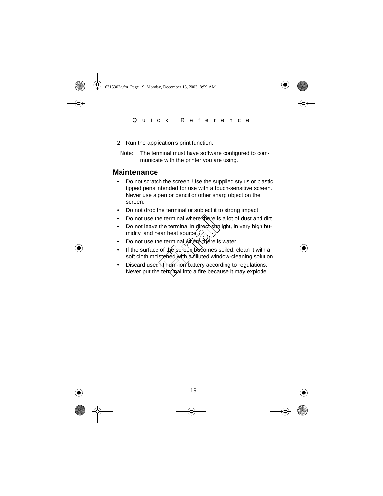- 2. Run the application's print function.
	- Note: The terminal must have software configured to communicate with the printer you are using.

# <span id="page-20-0"></span>**Maintenance**

- Do not scratch the screen. Use the supplied stylus or plastic tipped pens intended for use with a touch-sensitive screen. Never use a pen or pencil or other sharp object on the screen.
- Do not drop the terminal or subject it to strong impact.
- Do not use the terminal where there is a lot of dust and dirt.
- Do not leave the terminal in direct sunlight, in very high humidity, and near heat source.
- Do not use the terminal where there is water.
- If the surface of the screen becomes soiled, clean it with a soft cloth moistened with a diluted window-cleaning solution. Framinal where there is<br>the terminal in direct sum<br>ear heat source.<br>The terminal where there is<br>of the screen becomes<br>steried with a diluted wind<br>it in think in battery accordingle in the terminal into a fire beca
- Discard used lithium-ion battery according to regulations. Never put the terminal into a fire because it may explode.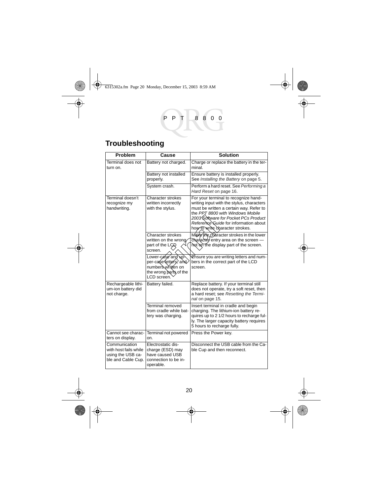# <span id="page-21-0"></span>**Troubleshooting**

| Problem                                                                           | Cause                                                                                                      | <b>Solution</b>                                                                                                                                                                                                                                                                      |
|-----------------------------------------------------------------------------------|------------------------------------------------------------------------------------------------------------|--------------------------------------------------------------------------------------------------------------------------------------------------------------------------------------------------------------------------------------------------------------------------------------|
| Terminal does not<br>turn on.                                                     | Battery not charged.                                                                                       | Charge or replace the battery in the ter-<br>minal.                                                                                                                                                                                                                                  |
|                                                                                   | Battery not installed<br>properly.                                                                         | Ensure battery is installed properly.<br>See Installing the Battery on page 5.                                                                                                                                                                                                       |
|                                                                                   | System crash.                                                                                              | Perform a hard reset. See Performing a<br>Hard Reset on page 16.                                                                                                                                                                                                                     |
| Terminal doesn't<br>recognize my<br>handwriting.                                  | Character strokes<br>written incorrectly<br>with the stylus.                                               | For your terminal to recognize hand-<br>writing input with the stylus, characters<br>must be written a certain way. Refer to<br>the PPT 8800 with Windows Mobile<br>2003 Software for Pocket PCs Product<br>Reference Guide for information about<br>how to write character strokes. |
|                                                                                   | Character strokes<br>written on the wrono<br>part of the LCD<br>screen.                                    | Make the character strokes in the lower<br>character entry area on the screen -<br>not on the display part of the screen.                                                                                                                                                            |
|                                                                                   | Lower-case and up-<br>per-case letters, and<br>numbers written on<br>the wrong parts of the<br>LCD screen. | Ensure you are writing letters and num-<br>bers in the correct part of the LCD<br>screen.                                                                                                                                                                                            |
| Rechargeable lithi-<br>um-ion battery did<br>not charge.                          | Battery failed.                                                                                            | Replace battery. If your terminal still<br>does not operate, try a soft reset, then<br>a hard reset; see Resetting the Termi-<br>nal on page 15.                                                                                                                                     |
|                                                                                   | Terminal removed<br>from cradle while bat-<br>tery was charging.                                           | Insert terminal in cradle and begin<br>charging. The lithium-ion battery re-<br>quires up to 2 1/2 hours to recharge ful-<br>ly. The larger capacity battery requires<br>5 hours to recharge fully.                                                                                  |
| Cannot see charac-<br>ters on display.                                            | Terminal not powered<br>on.                                                                                | Press the Power key.                                                                                                                                                                                                                                                                 |
| Communication<br>with host fails while<br>using the USB ca-<br>ble and Cable Cup. | Electrostatic dis-<br>charge (ESD) may<br>have caused USB<br>connection to be in-<br>operable.             | Disconnect the USB cable from the Ca-<br>ble Cup and then reconnect.                                                                                                                                                                                                                 |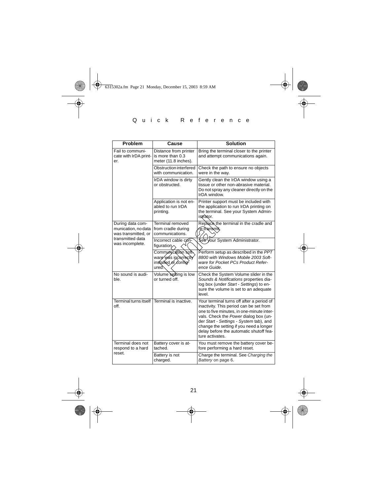| Problem                                                        | Cause                                                                       | <b>Solution</b>                                                                                                                                                                                                                                                                                                                |
|----------------------------------------------------------------|-----------------------------------------------------------------------------|--------------------------------------------------------------------------------------------------------------------------------------------------------------------------------------------------------------------------------------------------------------------------------------------------------------------------------|
| Fail to communi-<br>cate with IrDA print-<br>er.               | Distance from printer<br>is more than 0.3<br>meter (11.8 inches).           | Bring the terminal closer to the printer<br>and attempt communications again.                                                                                                                                                                                                                                                  |
|                                                                | Obstruction interfered<br>with communication.                               | Check the path to ensure no objects<br>were in the way.                                                                                                                                                                                                                                                                        |
|                                                                | IrDA window is dirty<br>or obstructed.                                      | Gently clean the IrDA window using a<br>tissue or other non-abrasive material.<br>Do not spray any cleaner directly on the<br>IrDA window.                                                                                                                                                                                     |
|                                                                | Application is not en-<br>abled to run IrDA<br>printing.                    | Printer support must be included with<br>the application to run IrDA printing on<br>the terminal. See your System Admin-<br>istrator.                                                                                                                                                                                          |
| During data com-<br>munication, no data<br>was transmitted, or | Terminal removed<br>from cradle during<br>communications.                   | Replace the terminal in the cradle and<br>fe-transmit,                                                                                                                                                                                                                                                                         |
| transmitted data<br>was incomplete.                            | Incorrect cable con-<br>figuration $\sim$                                   | See your System Administrator.                                                                                                                                                                                                                                                                                                 |
|                                                                | Communication soft<br>ware was incorrectly<br>installed or config-<br>ured. | Perform setup as described in the PPT<br>8800 with Windows Mobile 2003 Soft-<br>ware for Pocket PCs Product Refer-<br>ence Guide.                                                                                                                                                                                              |
| No sound is audi-<br>ble.                                      | Volume setting is low<br>or turned off.                                     | Check the System Volume slider in the<br>Sounds & Notifications properties dia-<br>log box (under Start - Settings) to en-<br>sure the volume is set to an adequate<br>level.                                                                                                                                                  |
| off.                                                           | Terminal turns itself Terminal is inactive.                                 | Your terminal turns off after a period of<br>inactivity. This period can be set from<br>one to five minutes, in one-minute inter-<br>vals. Check the Power dialog box (un-<br>der Start - Settings - System tab), and<br>change the setting if you need a longer<br>delay before the automatic shutoff fea-<br>ture activates. |
| Terminal does not<br>respond to a hard                         | Battery cover is at-<br>tached.                                             | You must remove the battery cover be-<br>fore performing a hard reset.                                                                                                                                                                                                                                                         |
| reset.                                                         | Battery is not<br>charged.                                                  | Charge the terminal. See Charging the<br>Battery on page 6.                                                                                                                                                                                                                                                                    |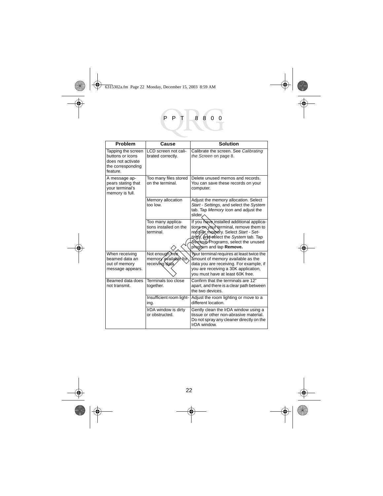| Problem                                                                                      | Cause                                                     | <b>Solution</b>                                                                                                                                                                                                                      |
|----------------------------------------------------------------------------------------------|-----------------------------------------------------------|--------------------------------------------------------------------------------------------------------------------------------------------------------------------------------------------------------------------------------------|
| Tapping the screen<br>buttons or icons<br>does not activate<br>the corresponding<br>feature. | LCD screen not cali-<br>brated correctly.                 | Calibrate the screen. See Calibrating<br>the Screen on page 8.                                                                                                                                                                       |
| A message ap-<br>pears stating that<br>your terminal's<br>memory is full.                    | Too many files stored<br>on the terminal.                 | Delete unused memos and records.<br>You can save these records on your<br>computer.                                                                                                                                                  |
|                                                                                              | Memory allocation<br>unl nnt                              | Adjust the memory allocation. Select<br>Start - Settings, and select the System<br>tab. Tap Memory icon and adjust the<br>slider.                                                                                                    |
|                                                                                              | Too many applica-<br>tions installed on the<br>terminal   | If you have installed additional applica-<br>tions on your terminal, remove them to<br>recover memory. Select Start - Set-<br>tings, and select the System tab. Tap<br>Remove Programs, select the unused<br>program and tap Remove. |
| When receiving<br>beamed data an<br>out of memory<br>message appears.                        | Not enough rea<br>memory available tor<br>receiving data. | Your terminal requires at least twice the<br>ámount of memory available as the<br>data you are receiving. For example, if<br>you are receiving a 30K application,<br>vou must have at least 60K free.                                |
| Beamed data does<br>not transmit.                                                            | Terminals too close<br>together.                          | Confirm that the terminals are 12"<br>apart, and there is a clear path between<br>the two devices.                                                                                                                                   |
|                                                                                              | Insufficient room light-<br>ing.                          | Adjust the room lighting or move to a<br>different location.                                                                                                                                                                         |
|                                                                                              | IrDA window is dirty<br>or obstructed.                    | Gently clean the IrDA window using a<br>tissue or other non-abrasive material.<br>Do not spray any cleaner directly on the<br>IrDA window.                                                                                           |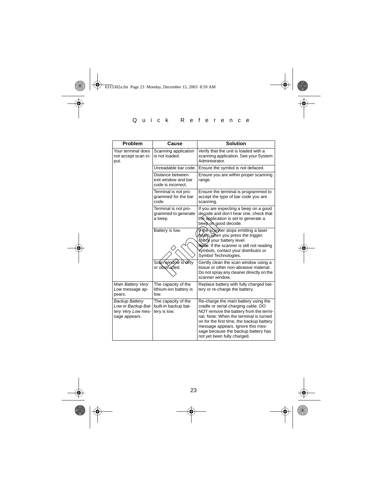| <b>Problem</b>                                                                     | Cause                                                         | <b>Solution</b>                                                                                                                                                                                                                                                                                                         |
|------------------------------------------------------------------------------------|---------------------------------------------------------------|-------------------------------------------------------------------------------------------------------------------------------------------------------------------------------------------------------------------------------------------------------------------------------------------------------------------------|
| Your terminal does<br>not accept scan in-<br>put.                                  | Scanning application<br>is not loaded.                        | Verify that the unit is loaded with a<br>scanning application. See your System<br>Administrator.                                                                                                                                                                                                                        |
|                                                                                    | Unreadable bar code.                                          | Ensure the symbol is not defaced.                                                                                                                                                                                                                                                                                       |
|                                                                                    | Distance between<br>exit window and bar<br>code is incorrect. | Ensure you are within proper scanning<br>range.                                                                                                                                                                                                                                                                         |
|                                                                                    | Terminal is not pro-<br>grammed for the bar<br>code.          | Ensure the terminal is programmed to<br>accept the type of bar code you are<br>scanning.                                                                                                                                                                                                                                |
|                                                                                    | Terminal is not pro-<br>grammed to generate<br>a beep.        | If you are expecting a beep on a good<br>decode and don't hear one, check that<br>the application is set to generate a<br>beepongood decode.                                                                                                                                                                            |
|                                                                                    | Battery is low.                                               | If the scanner stops emitting a laser<br>beam when you press the trigger,<br>check your battery level.<br>Note: If the scanner is still not reading<br>symbols, contact your distributor or<br>Symbol Technologies.                                                                                                     |
|                                                                                    | Scan window is dirty<br>or obstructed.                        | Gently clean the scan window using a<br>tissue or other non-abrasive material.<br>Do not spray any cleaner directly on the<br>scanner window.                                                                                                                                                                           |
| Main Battery Very<br>Low message ap-<br>pears.                                     | The capacity of the<br>lithium-ion battery is<br>low.         | Replace battery with fully charged bat-<br>tery or re-charge the battery.                                                                                                                                                                                                                                               |
| <b>Backup Battery</b><br>Low or Backup Bat-<br>tery Very Low mes-<br>sage appears. | The capacity of the<br>built-in backup bat-<br>tery is low.   | Re-charge the main battery using the<br>cradle or serial charging cable. DO<br>NOT remove the battery from the termi-<br>nal. Note: When the terminal is turned<br>on for the first time, the backup battery<br>message appears. Ignore this mes-<br>sage because the backup battery has<br>not yet been fully charged. |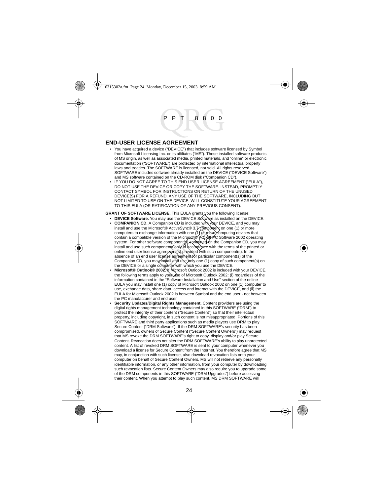#### **END-USER LICENSE AGREEMENT**

- You have acquired a device ("DEVICE") that includes software licensed by Symbol from Microsoft Licensing Inc. or its affiliates ("MS"). Those installed software products of MS origin, as well as associated media, printed materials, and "online" or electronic documentation ("SOFTWARE") are protected by international intellectual property laws and treaties. The SOFTWARE is licensed, not sold. All rights reserved. SOFTWARE includes software already installed on the DEVICE ("DEVICE Software") and MS software contained on the CD-ROM disk ("Companion CD").
- IF YOU DO NOT AGREE TO THIS END USER LICENSE AGREEMENT ("EULA"), DO NOT USE THE DEVICE OR COPY THE SOFTWARE. INSTEAD, PROMPTLY CONTACT SYMBOL FOR INSTRUCTIONS ON RETURN OF THE UNUSED DEVICE(S) FOR A REFUND. ANY USE OF THE SOFTWARE, INCLUDING BUT NOT LIMITED TO USE ON THE DEVICE, WILL CONSTITUTE YOUR AGREEMENT TO THIS EULA (OR RATIFICATION OF ANY PREVIOUS CONSENT).

**GRANT OF SOFTWARE LICENSE.** This EULA grants you the following license:

- **DEVICE Software.** You may use the DEVICE Software as installed on the DEVICE.
- **COMPANION CD.** A Companion CD is included with your DEVICE, and you may install and use the Microsoft® ActiveSync® 3.7 component on one (1) or more computers to exchange information with one (1) or സ്oke computing devices that<br>contain a compatible version of the Microsoft® Pocker PC Software 2002 operating<br>system. For other software component(ട്)-റ്റേി്ങ്ലിലേ∕on the install and use such components only in accordance with the terms of the printed or online end user license agreement(s) provided with such component(s). In the absence of an end user license agreement for particular component(s) of the Companion CD, you may install and use only one (1) copy of such component(s) on the DEVICE or a single computer with which you use the DEVICE. may use the DEVICE Software as<br>mpanion CD is included with your Last mpanion CD is included with your Last form and the component<br>information with one (1) or model of the protocyte component is<br>in of the Microsoft® Focks P
- Microsoft<sup>®</sup> Outlook<sup>®</sup> 2002. If Microsoft Outlook 2002 is included with your DEVICE, the following terms apply to your use of Microsoft Outlook 2002: (i) regardless of the information contained in the "Software Installation and Use" section of the online EULA you may install one (1) copy of Microsoft Outlook 2002 on one (1) computer to use, exchange data, share data, access and interact with the DEVICE, and (ii) the EULA for Microsoft Outlook 2002 is between Symbol and the end user - not between the PC manufacturer and end user.
- **Security Updates/Digital Rights Management.** Content providers are using the digital rights management technology contained in this SOFTWARE ("DRM") to protect the integrity of their content ("Secure Content") so that their intellectual property, including copyright, in such content is not misappropriated. Portions of this SOFTWARE and third party applications such as media players use DRM to play Secure Content ("DRM Software"). If the DRM SOFTWARE's security has been compromised, owners of Secure Content ("Secure Content Owners") may request that MS revoke the DRM SOFTWARE's right to copy, display and/or play Secure Content. Revocation does not alter the DRM SOFTWARE's ability to play unprotected content. A list of revoked DRM SOFTWARE is sent to your computer whenever you download a license for Secure Content from the Internet. You therefore agree that MS may, in conjunction with such license, also download revocation lists onto your computer on behalf of Secure Content Owners. MS will not retrieve any personally identifiable information, or any other information, from your computer by downloading such revocation lists. Secure Content Owners may also require you to upgrade some of the DRM components in this SOFTWARE ("DRM Upgrades") before accessing their content. When you attempt to play such content, MS DRM SOFTWARE will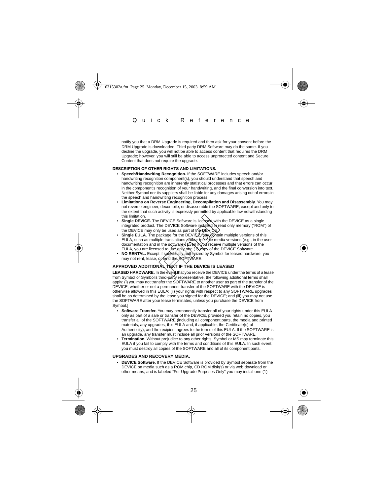notify you that a DRM Upgrade is required and then ask for your consent before the DRM Upgrade is downloaded. Third party DRM Software may do the same. If you decline the upgrade, you will not be able to access content that requires the DRM Upgrade; however, you will still be able to access unprotected content and Secure Content that does not require the upgrade.

#### **DESCRIPTION OF OTHER RIGHTS AND LIMITATIONS.**

- **Speech/Handwriting Recognition.** If the SOFTWARE includes speech and/or handwriting recognition component(s), you should understand that speech and handwriting recognition are inherently statistical processes and that errors can occur in the component's recognition of your handwriting, and the final conversion into text. Neither Symbol nor its suppliers shall be liable for any damages arising out of errors in the speech and handwriting recognition process.
- **Limitations on Reverse Engineering, Decompilation and Disassembly.** You may not reverse engineer, decompile, or disassemble the SOFTWARE, except and only to the extent that such activity is expressly permitted by applicable law notwithstanding this limitation.
- **Single DEVICE.** The DEVICE Software is licensed with the DEVICE as a single integrated product. The DEVICE Software installed in read only memory ("ROM") of the DEVICE may only be used as part of  $#$  $\rightarrow$  $\rightarrow$  $\rightarrow$
- Single EULA. The package for the DEVICE may contain multiple versions of this<br>EULA, such as multiple translations and or multiple media versions (e.g., in the user documentation and in the software). Even if you receive multiple versions of the **EDEVICE Software is licensed with the DEVICE Software is licensed with the DEVICE Software installed in rights and the DEVICE Analy contained in the DEVICE Analy contained the present of the property from the softwarpy (F**
- EULA, you are licensed to use only one (1) copy of the DEVICE Software. **NO RENTAL.** Except if specifically authorized by Symbol for leased hardware, you may not rent, lease, or lend the SOFTWARE.

#### APPROVED ADDITIONAL **TEXT IF THE DEVICE IS LEASED**

LEASED HARDWARE. In the event that you receive the DEVICE under the terms of a lease from Symbol or Symbol's third-party representative, the following additional terms shall apply: (i) you may not transfer the SOFTWARE to another user as part of the transfer of the DEVICE, whether or not a permanent transfer of the SOFTWARE with the DEVICE is otherwise allowed in this EULA; (ii) your rights with respect to any SOFTWARE upgrades shall be as determined by the lease you signed for the DEVICE; and (iii) you may not use the SOFTWARE after your lease terminates, unless you purchase the DEVICE from Symbol.]

- **Software Transfer.** You may permanently transfer all of your rights under this EULA only as part of a sale or transfer of the DEVICE, provided you retain no copies, you transfer all of the SOFTWARE (including all component parts, the media and printed materials, any upgrades, this EULA and, if applicable, the Certificate(s) of Authenticity), and the recipient agrees to the terms of this EULA. If the SOFTWARE is an upgrade, any transfer must include all prior versions of the SOFTWARE.
- **Termination.** Without prejudice to any other rights, Symbol or MS may terminate this EULA if you fail to comply with the terms and conditions of this EULA. In such event, you must destroy all copies of the SOFTWARE and all of its component parts.

#### **UPGRADES AND RECOVERY MEDIA.**

• **DEVICE Software.** If the DEVICE Software is provided by Symbol separate from the DEVICE on media such as a ROM chip, CD ROM disk(s) or via web download or other means, and is labeled "For Upgrade Purposes Only" you may install one (1)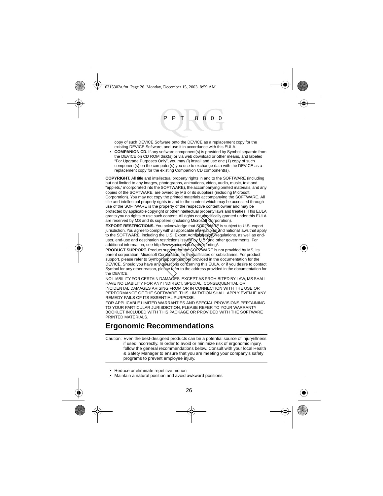copy of such DEVICE Software onto the DEVICE as a replacement copy for the existing DEVICE Software, and use it in accordance with this EULA.

• **COMPANION CD.** If any software component(s) is provided by Symbol separate from the DEVICE on CD ROM disk(s) or via web download or other means, and labeled "For Upgrade Purposes Only", you may (i) install and use one (1) copy of such component(s) on the computer(s) you use to exchange data with the DEVICE as a replacement copy for the existing Companion CD component(s).

**COPYRIGHT**. All title and intellectual property rights in and to the SOFTWARE (including but not limited to any images, photographs, animations, video, audio, music, text and "applets," incorporated into the SOFTWARE), the accompanying printed materials, and any copies of the SOFTWARE, are owned by MS or its suppliers (including Microsoft Corporation). You may not copy the printed materials accompanying the SOFTWARE. All title and intellectual property rights in and to the content which may be accessed through use of the SOFTWARE is the property of the respective content owner and may be protected by applicable copyright or other intellectual property laws and treaties. This EULA grants you no rights to use such content. All rights not specifically granted under this EULA are reserved by MS and its suppliers (including Microsoft Corporation).

**EXPORT RESTRICTIONS.** You acknowledge that SOFTWARE is subject to U.S. export jurisdiction. You agree to comply with all applicable international and national laws that apply to the SOFTWARE, including the U.S. Export Adm**inistration**) Regulations, as well as end-<br>user, end-use and destination restrictions issµed by U.S. and other governments. For additional information, see http://www.microsoft.com/exporting/.

**PRODUCT SUPPORT.** Product support for the SOFTWARE is not provided by MS, its parent corporation, Microsoft Corporation, or their affiliates or subsidiaries. For product support, please refer to Symbol support number provided in the documentation for the DEVICE. Should you have any questions concerning this EULA, or if you desire to contact Symbol for any other reason, please refer to the address provided in the documentation for the DEVICE. ch content. All rights not specifically<br>popliers (including Microsoft Sorporus)<br>ou acknowledge that SOFTWARE<br>by with all applicable international at<br>the U.S. Export Administration Reserved that<br>internations issues by U.S.

NO LIABILITY FOR CERTAIN DAMAGES. EXCEPT AS PROHIBITED BY LAW, MS SHALL HAVE NO LIABILITY FOR ANY INDIRECT, SPECIAL, CONSEQUENTIAL OR INCIDENTAL DAMAGES ARISING FROM OR IN CONNECTION WITH THE USE OR PERFORMANCE OF THE SOFTWARE. THIS LIMITATION SHALL APPLY EVEN IF ANY REMEDY FAILS OF ITS ESSENTIAL PURPOSE.

FOR APPLICABLE LIMITED WARRANTIES AND SPECIAL PROVISIONS PERTAINING TO YOUR PARTICULAR JURISDICTION, PLEASE REFER TO YOUR WARRANTY BOOKLET INCLUDED WITH THIS PACKAGE OR PROVIDED WITH THE SOFTWARE PRINTED MATERIALS.

# **Ergonomic Recommendations**

Caution: Even the best-designed products can be a potential source of injury/illness if used incorrectly. In order to avoid or minimize risk of ergonomic injury, follow the general recommendations below. Consult with your local Health & Safety Manager to ensure that you are meeting your company's safety programs to prevent employee injury.

- Reduce or eliminate repetitive motion
- Maintain a natural position and avoid awkward positions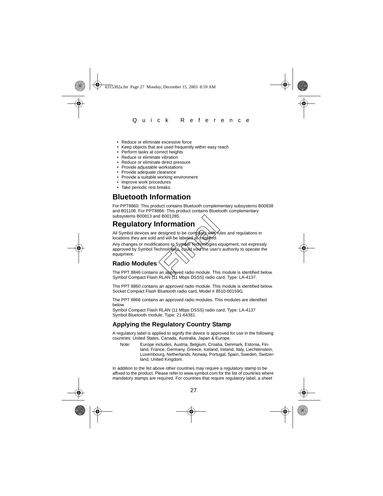- Reduce or eliminate excessive force
- Keep objects that are used frequently within easy reach
- Perform tasks at correct heights
- Reduce or eliminate vibration
- Reduce or eliminate direct pressure
- Provide adjustable workstations
- Provide adequate clearance
- Provide a suitable working environment
- Improve work procedures
- Take periodic rest breaks.

# **Bluetooth Information**

For PPT8860: This product contains Bluetooth complementary subsystems B00838 and B01108. For PPT8866: This product contains Bluetooth complementary subsystems B00813 and B001285.

# <span id="page-28-0"></span>**Regulatory Information**

All Symbol devices are designed to be compliant with rules and regulations in locations they are sold and will be labeled as required.

Any changes or modifications to Symbol Technologies equipment, not expressly approved by Symbol Technologies, could void the user's authority to operate the equipment. **Formation**<br>
designed to be complient with turn<br>
and will be labeled as *felalined*.<br>
and will be labeled as *felalined*.<br>
chnologies, could void the user's<br>
an approved radio module. This

# **Radio Modules**

The PPT 8846 contains an approved radio module. This module is identified below. Symbol Compact Flash RLAN (11 Mbps DSSS) radio card, Type: LA-4137.

The PPT 8860 contains an approved radio module. This module is identified below. Socket Compact Flash Bluetooth radio card, Model # 8510-00159G.

The PPT 8866 contains an approved radio modules. This modules are identified below.

Symbol Compact Flash RLAN (11 Mbps DSSS) radio card, Type: LA-4137 Symbol Bluetooth module, Type: 21-64381.

# **Applying the Regulatory Country Stamp**

A regulatory label is applied to signify the device is approved for use in the following countries: United States, Canada, Australia, Japan & Europe.

Note: Europe includes, Austria, Belgium, Croatia, Denmark, Estonia, Finland, France, Germany, Greece, Iceland, Ireland, Italy, Liechtenstein, Luxembourg, Netherlands, Norway, Portugal, Spain, Sweden, Switzerland, United Kingdom.

In addition to the list above other countries may require a regulatory stamp to be affixed to the product. Please refer to www.symbol.com for the list of countries where mandatory stamps are required. For countries that require regulatory label, a sheet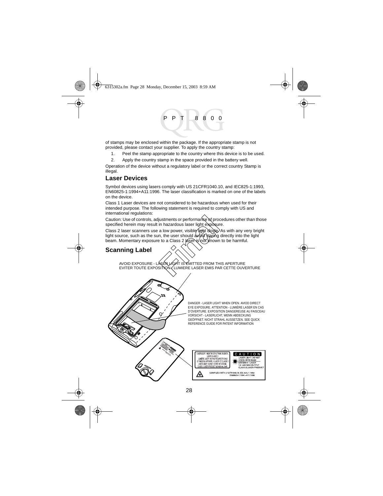of stamps may be enclosed within the package. If the appropriate stamp is not provided, please contact your supplier. To apply the country stamp:

1. Peel the stamp appropriate to the country where this device is to be used.

2. Apply the country stamp in the space provided in the battery well.

Operation of the device without a regulatory label or the correct country Stamp is illegal.

#### **Laser Devices**

Symbol devices using lasers comply with US 21CFR1040.10, and IEC825-1:1993, EN60825-1:1994+A11:1996. The laser classification is marked on one of the labels on the device.

Class 1 Laser devices are not considered to be hazardous when used for their intended purpose. The following statement is required to comply with US and international regulations:

Caution: Use of controls, adjustments or performance of procedures other than those specified herein may result in hazardous laser light exposure.

Class 2 laser scanners use a low power, visible light diode.>As with any very bright<br>light source, such as the sun, the user should avoid staring directly into the light beam. Momentary exposure to a Class 2 laser is not known to be harmful. Final Scrib and Scrib and Scrib and Scrib and Scrib and Scrib and Scrib and Scrib and Scrib and Scrib and Scrib and Scrib and Scrib and Scrib and Scrib and Scrib and Scrib and Scrib and Scrib and Scrib and Scrib and Scrib

# **Scanning Label**

AVOID EXPOSURE - LASER LIGHT IS EMITTED FROM THIS APERTURE<br>EVITER TOUTE EXPOSITION - LUMIERE LASER EMIS PAR CETTE OUV LUMIERE LASER EMIS PAR CETTE OUVERTURE

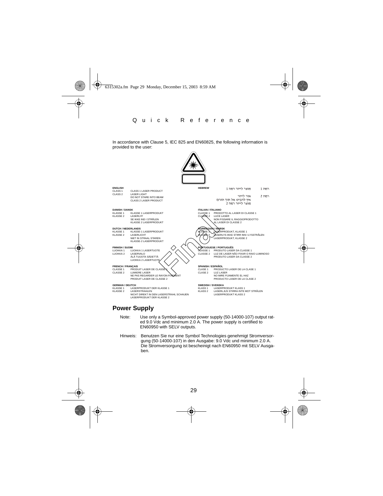In accordance with Clause 5, IEC 825 and EN60825, the following information is provided to the user:



#### **Power Supply**

- Note: Use only a Symbol-approved power supply (50-14000-107) output rated 9.0 Vdc and minimum 2.0 A. The power supply is certified to EN60950 with SELV outputs.
- Hinweis: Benutzen Sie nur eine Symbol Technologies genehmigt Stromversorgung (50-14000-107) in den Ausgabe: 9.0 Vdc und minimum 2.0 A. Die Stromversorgung ist bescheinigt nach EN60950 mit SELV Ausgaben.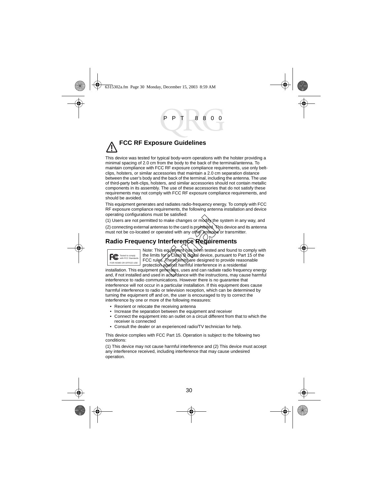# **FCC RF Exposure Guidelines**

This device was tested for typical body-worn operations with the holster providing a minimal spacing of 2.0 cm from the body to the back of the terminal/antenna. To maintain compliance with FCC RF exposure compliance requirements, use only beltclips, holsters, or similar accessories that maintain a 2.0 cm separation distance between the user's body and the back of the terminal, including the antenna. The use of third-party belt-clips, holsters, and similar accessories should not contain metallic components in its assembly. The use of these accessories that do not satisfy these requirements may not comply with FCC RF exposure compliance requirements, and should be avoided.

This equipment generates and radiates radio-frequency energy. To comply with FCC RF exposure compliance requirements, the following antenna installation and device operating configurations must be satisfied:

(1) Users are not permitted to make changes or modify the system in any way, and (2) connecting external antennas to the card is prohibited. This device and its antenna must not be co-located or operated with any other antenna or transmitter.

# **Radio Frequency Interference Requirements**



Note: This equipment has been tested and found to comply with the limits for a Class B digital device, pursuant to Part 15 of the FCC rules. These limits are designed to provide reasonable protection against harmful interference in a residential Ist be satisfied.<br>
to make changes or modify the<br>
perated with any other antibided. The<br>
perated with any other antibided.<br> **Interference Requires**<br>
is equipmentials been tested a<br>
stor a Class B digital device, pu<br>
ges. T

installation. This equipment generates, uses and can radiate radio frequency energy and, if not installed and used in accordance with the instructions, may cause harmful interference to radio communications. However there is no guarantee that interference will not occur in a particular installation. If this equipment does cause harmful interference to radio or television reception, which can be determined by turning the equipment off and on, the user is encouraged to try to correct the interference by one or more of the following measures:

- Reorient or relocate the receiving antenna
- Increase the separation between the equipment and receiver
- Connect the equipment into an outlet on a circuit different from that to which the receiver is connected
- Consult the dealer or an experienced radio/TV technician for help.

This device complies with FCC Part 15. Operation is subject to the following two conditions:

(1) This device may not cause harmful interference and (2) This device must accept any interference received, including interference that may cause undesired operation.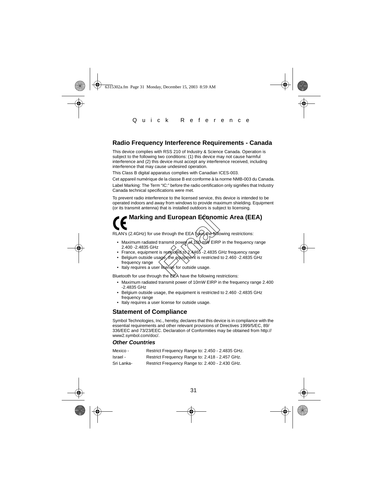## **Radio Frequency Interference Requirements - Canada**

This device complies with RSS 210 of Industry & Science Canada. Operation is subject to the following two conditions: (1) this device may not cause harmful interference and (2) this device must accept any interference received, including interference that may cause undesired operation.

This Class B digital apparatus complies with Canadian ICES-003.

Cet appareil numérique de la classe B est conforme à la norme NMB-003 du Canada.

Label Marking: The Term "IC:" before the radio certification only signifies that Industry Canada technical specifications were met.

To prevent radio interference to the licensed service, this device is intended to be operated indoors and away from windows to provide maximum shielding. Equipment (or its transmit antenna) that is installed outdoors is subject to licensing.

# **Marking and European Economic Area (EEA) nd European Econon**<br>
e through the EEA have the solid<br>
transmit power of 100 mW EIRF<br>
is restricted to 2.4465 -2.4835 C<br>
age the equipment is restricted<br>
r libense for outside usage.<br>
the best house the following to

RLAN's (2.4GHz) for use through the EEA have the following restrictions:

- Maximum radiated transmit power of 100 mW EIRP in the frequency range 2.400 -2.4835 GHz
- France, equipment is restricted to 2.4465 -2.4835 GHz frequency range
- Belgium outside usage, the equipment is restricted to 2.460 -2.4835 GHz frequency range
- Italy requires a user license for outside usage.

Bluetooth for use through the EEA have the following restrictions:

- Maximum radiated transmit power of 10mW EIRP in the frequency range 2.400 -2.4835 GHz
- Belgium outside usage, the equipment is restricted to 2.460 -2.4835 GHz frequency range
- Italy requires a user license for outside usage.

### **Statement of Compliance**

Symbol Technologies, Inc., hereby, declares that this device is in compliance with the essential requirements and other relevant provisions of Directives 1999/5/EC, 89/ 336/EEC and 73/23/EEC. Declaration of Conformities may be obtained from http:// www2.symbol.com/doc/.

#### **Other Countries**

| Mexico -   | Restrict Frequency Range to: 2.450 - 2.4835 GHz. |
|------------|--------------------------------------------------|
| Israel -   | Restrict Frequency Range to: 2.418 - 2.457 GHz.  |
| Sri Lanka- | Restrict Frequency Range to: 2.400 - 2.430 GHz.  |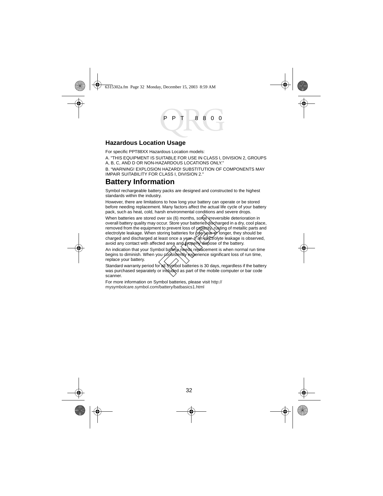#### **Hazardous Location Usage**

For specific PPT88XX Hazardous Location models:

A. "THIS EQUIPMENT IS SUITABLE FOR USE IN CLASS I, DIVISION 2, GROUPS A, B, C, AND D OR NON-HAZARDOUS LOCATIONS ONLY."

B. "WARNING! EXPLOSION HAZARD! SUBSTITUTION OF COMPONENTS MAY IMPAIR SUITABILITY FOR CLASS I, DIVISION 2."

# **Battery Information**

Symbol rechargeable battery packs are designed and constructed to the highest standards within the industry.

However, there are limitations to how long your battery can operate or be stored before needing replacement. Many factors affect the actual life cycle of your battery pack, such as heat, cold, harsh environmental conditions and severe drops.

When batteries are stored over six (6) months, some vireversible deterioration in overall battery quality may occur. Store your batteries discharged in a dry, cool place, removed from the equipment to prevent loss of capacity, rusting of metallic parts and electrolyte leakage. When storing batteries for (one year or longer, they should be charged and discharged at least once a year. If an electrolyte leakage is observed, avoid any contact with affected area and properly dispose of the battery. over six (6) months, some virever<br>cocur. Store your batteries dischart to prevent loss of *capacity*, rustoring batteries for *of payer*<br>battering batteries for *of payer payer*<br>least once a yar of the discreption<br>ted area

An indication that your Symbol battery needs replacement is when normal run time begins to diminish. When you consistently experience significant loss of run time, replace your battery.

Standard warranty period for all Symbol batteries is 30 days, regardless if the battery was purchased separately or included as part of the mobile computer or bar code scanner.

For more information on Symbol batteries, please visit [http://](http://mysymbolcare.symbol.com/battery/batbasics1.html) [mysymbolcare.symbol.com/battery/batbasics1.html](http://mysymbolcare.symbol.com/battery/batbasics1.html)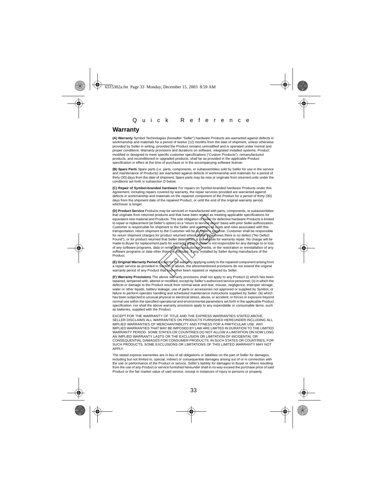#### **Warranty**

**(A) Warranty** Symbol Technologies (hereafter "Seller") hardware Products are warranted against defects in workmanship and materials for a period of twelve (12) months from the date of shipment, unless otherwise provided by Seller in writing, provided the Product remains unmodified and is operated under normal and proper conditions. Warranty provisions and durations on software, integrated installed systems, Product modified or designed to meet specific customer specifications ("Custom Products"), remanufactured products, and reconditioned or upgraded products, shall be as provided in the applicable Product specification in effect at the time of purchase or in the accompanying software license.

**(B) Spare Parts** Spare parts (i.e. parts, components, or subassemblies sold by Seller for use in the service and maintenance of Products) are warranted against defects in workmanship and materials for a period of thirty (30) days from the date of shipment. Spare parts may be new or originate from returned units under the conditions set forth in subsection D below.

**(C) Repair of Symbol-branded hardware** For repairs on Symbol-branded hardware Products under this Agreement, including repairs covered by warranty, the repair services provided are warranted against defects in workmanship and materials on the repaired component of the Product for a period of thirty (30) days from the shipment date of the repaired Product, or until the end of the original warranty period, whichever is longer.

**(D) Product Service** Products may be serviced or manufactured with parts, components, or subassemblies that originate from returned products and that have been tested as meeting applicable specifications for equivalent new material and Products. The sole obligation of Seller for defective hardware Products is limited to repair or replacement (at Seller's option) on a "return to service depot" basis with prior Seller authorization. Customer is responsible for shipment to the Seller and assumes all costs and risks associated with this transportation; return shipment to the Customer will be at Saller`s expense. Customer shall be responsible<br>for return shipment charges for product returned where Selfer queber for exercit is no defect ("No Defect<br>Found") of any software programs, data or remo্va}ble data storage media, or the restoration or reinstallation of any<br>software programs or data other than the ≴oাঁtware, it any, installed by Seller during manufacture of the Product. oducts and main rave been respect as metallicated and the selection of contents of the difference of the selection of the selection of the selection of the selection of the selection of the selection of the total content t

**(E) Original Warranty Period** Except for the warranty applying solely to the repaired component arising from a repair service as provided in Section C above, the aforementioned provisions do not extend the original warranty period of any Product that had either been repaired or replaced by Seller.

**(F) Warranty Provisions** The above warranty provisions shall not apply to any Product (i) which has been repaired, tampered with, altered or modified, except by Seller's authorized service personnel; (ii) in which the defects or damage to the Product result from normal wear and tear, misuse, negligence, improper storage, water or other liquids, battery leakage, use of parts or accessories not approved or supplied by Symbol, or failure to perform operator handling and scheduled maintenance instructions supplied by Seller; (iii) which has been subjected to unusual physical or electrical stress, abuse, or accident, or forces or exposure beyond normal use within the specified operational and environmental parameters set forth in the applicable Product specification; nor shall the above warranty provisions apply to any expendable or consumable items, such as batteries, supplied with the Product.

EXCEPT FOR THE WARRANTY OF TITLE AND THE EXPRESS WARRANTIES STATED ABOVE, SELLER DISCLAIMS ALL WARRANTIES ON PRODUCTS FURNISHED HEREUNDER INCLUDING ALL IMPLIED WARRANTIES OF MERCHANTABILITY AND FITNESS FOR A PARTICULAR USE. ANY IMPLIED WARRANTIES THAT MAY BE IMPOSED BY LAW ARE LIMITED IN DURATION TO THE LIMITED WARRANTY PERIOD. SOME STATES OR COUNTRIES DO NOT ALLOW A LIMITATION ON HOW LONG AN IMPLIED WARRANTY LASTS OR THE EXCLUSION OR LIMITATION OF INCIDENTAL OR CONSEQUENTIAL DAMAGES FOR CONSUMER PRODUCTS. IN SUCH STATES OR COUNTRIES, FOR SUCH PRODUCTS, SOME EXCLUSIONS OR LIMITATIONS OF THIS LIMITED WARRANTY MAY NOT APPLY.

The stated express warranties are in lieu of all obligations or liabilities on the part of Seller for damages, including but not limited to, special, indirect or consequential damages arising out of or in connection with the use or performance of the Product or service. Seller's liability for damages to Buyer or others resulting from the use of any Product or service furnished hereunder shall in no way exceed the purchase price of said Product or the fair market value of said service, except in instances of injury to persons or property.